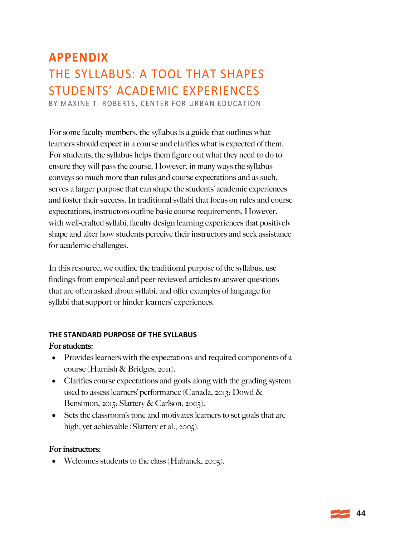# **APPENDIX** THE SYLLABUS: A TOOL THAT SHAPES STUDENTS' ACADEMIC EXPERIENCES

BY MAXINE T. ROBERTS, CENTER FOR URBAN EDUCATION

For some faculty members, the syllabus is a guide that outlines what learners should expect in a course and clarifies what is expected of them. For students, the syllabus helps them figure out what they need to do to ensure they will pass the course. However, in many ways the syllabus conveys so much more than rules and course expectations and as such, serves a larger purpose that can shape the students' academic experiences and foster their success. In traditional syllabi that focus on rules and course expectations, instructors outline basic course requirements. However, with well-crafted syllabi, faculty design learning experiences that positively shape and alter how students perceive their instructors and seek assistance for academic challenges.

In this resource, we outline the traditional purpose of the syllabus, use findings from empirical and peer-reviewed articles to answer questions that are often asked about syllabi, and offer examples of language for syllabi that support or hinder learners' experiences.

## **THE STANDARD PURPOSE OF THE SYLLABUS** For students:

- Provides learners with the expectations and required components of a course (Harnish & Bridges, 2011).
- Clarifies course expectations and goals along with the grading system used to assess learners' performance (Canada, 2013; Dowd & Bensimon, 2015; Slattery & Carlson, 2005).
- Sets the classroom's tone and motivates learners to set goals that are high, yet achievable (Slattery et al., 2005).

#### For instructors:

• Welcomes students to the class (Habanek, 2005).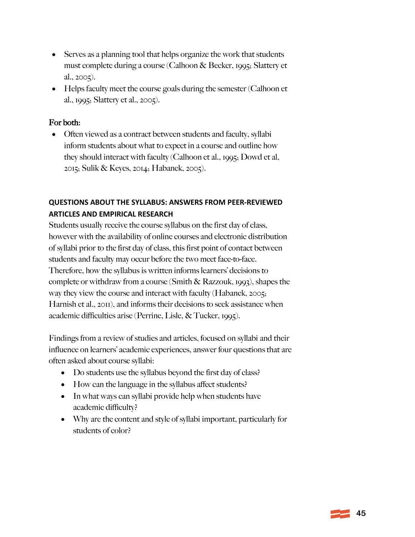- Serves as a planning tool that helps organize the work that students must complete during a course (Calhoon & Becker, 1995; Slattery et al., 2005).
- Helps faculty meet the course goals during the semester (Calhoon et al., 1995; Slattery et al., 2005).

## For both:

• Often viewed as a contract between students and faculty, syllabi inform students about what to expect in a course and outline how they should interact with faculty (Calhoon et al., 1995; Dowd et al, 2015; Sulik & Keyes, 2014; Habanek, 2005).

## **QUESTIONS ABOUT THE SYLLABUS: ANSWERS FROM PEER-REVIEWED ARTICLES AND EMPIRICAL RESEARCH**

Students usually receive the course syllabus on the first day of class, however with the availability of online courses and electronic distribution of syllabi prior to the first day of class, this first point of contact between students and faculty may occur before the two meet face-to-face. Therefore, how the syllabus is written informs learners' decisions to complete or withdraw from a course (Smith & Razzouk, 1993), shapes the way they view the course and interact with faculty (Habanek, 2005; Harnish et al., 2011), and informs their decisions to seek assistance when academic difficulties arise (Perrine, Lisle, & Tucker, 1995).

Findings from a review of studies and articles, focused on syllabi and their influence on learners' academic experiences, answer four questions that are often asked about course syllabi:

- Do students use the syllabus beyond the first day of class?
- How can the language in the syllabus affect students?
- In what ways can syllabi provide help when students have academic difficulty?
- Why are the content and style of syllabi important, particularly for students of color?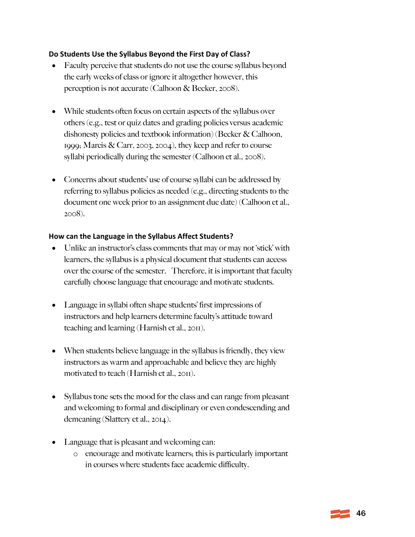#### **Do Students Use the Syllabus Beyond the First Day of Class?**

- Faculty perceive that students do not use the course syllabus beyond the early weeks of class or ignore it altogether however, this perception is not accurate (Calhoon & Becker, 2008).
- While students often focus on certain aspects of the syllabus over others (e.g., test or quiz dates and grading policies versus academic dishonesty policies and textbook information) (Becker & Calhoon, 1999; Marcis & Carr, 2003, 2004), they keep and refer to course syllabi periodically during the semester (Calhoon et al., 2008).
- Concerns about students' use of course syllabi can be addressed by referring to syllabus policies as needed (e.g., directing students to the document one week prior to an assignment due date) (Calhoon et al., 2008).

#### **How can the Language in the Syllabus Affect Students?**

- Unlike an instructor's class comments that may or may not 'stick' with learners, the syllabus is a physical document that students can access over the course of the semester. Therefore, it is important that faculty carefully choose language that encourage and motivate students.
- Language in syllabi often shape students' first impressions of instructors and help learners determine faculty's attitude toward teaching and learning (Harnish et al., 2011).
- When students believe language in the syllabus is friendly, they view instructors as warm and approachable and believe they are highly motivated to teach (Harnish et al., 2011).
- Syllabus tone sets the mood for the class and can range from pleasant and welcoming to formal and disciplinary or even condescending and demeaning (Slattery et al., 2014).
- Language that is pleasant and welcoming can:
	- o encourage and motivate learners; this is particularly important in courses where students face academic difficulty.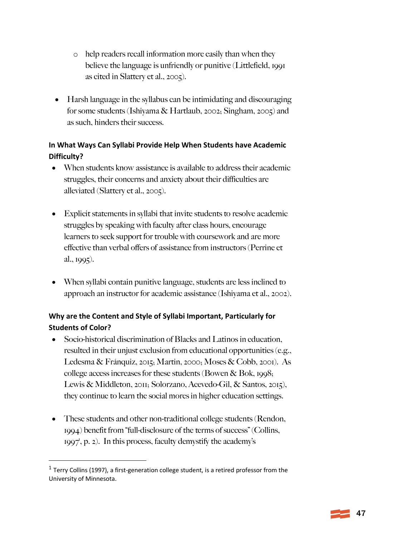- o help readers recall information more easily than when they believe the language is unfriendly or punitive (Littlefield, 1991 as cited in Slattery et al., 2005).
- Harsh language in the syllabus can be intimidating and discouraging for some students (Ishiyama & Hartlaub, 2002; Singham, 2005) and as such, hinders their success.

# **In What Ways Can Syllabi Provide Help When Students have Academic Difficulty?**

- When students know assistance is available to address their academic struggles, their concerns and anxiety about their difficulties are alleviated (Slattery et al., 2005).
- Explicit statements in syllabi that invite students to resolve academic struggles by speaking with faculty after class hours, encourage learners to seek support for trouble with coursework and are more effective than verbal offers of assistance from instructors (Perrine et al., 1995).
- When syllabi contain punitive language, students are less inclined to approach an instructor for academic assistance (Ishiyama et al., 2002).

## **Why are the Content and Style of Syllabi Important, Particularly for Students of Color?**

- Socio-historical discrimination of Blacks and Latinos in education, resulted in their unjust exclusion from educational opportunities (e.g., Ledesma & Fránquiz, 2015; Martin, 2000; Moses & Cobb, 2001). As college access increases for these students (Bowen & Bok, 1998; Lewis & Middleton, 2011; Solorzano, Acevedo-Gil, & Santos, 2015), they continue to learn the social mores in higher education settings.
- These students and other non-traditional college students (Rendon, 1994) benefit from "full-disclosure of the terms of success" (Collins, 1997<sup>'</sup>, p. 2). In this process, faculty demystify the academy's

 $1$  Terry Collins (1997), a first-generation college student, is a retired professor from the University of Minnesota.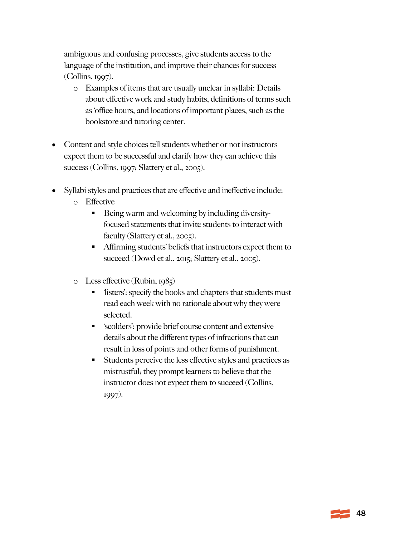ambiguous and confusing processes, give students access to the language of the institution, and improve their chances for success (Collins, 1997).

- o Examples of items that are usually unclear in syllabi: Details about effective work and study habits, definitions of terms such as 'office hours, and locations of important places, such as the bookstore and tutoring center.
- Content and style choices tell students whether or not instructors expect them to be successful and clarify how they can achieve this success (Collins, 1997; Slattery et al., 2005).
- Syllabi styles and practices that are effective and ineffective include:
	- o Effective
		- Being warm and welcoming by including diversityfocused statements that invite students to interact with faculty (Slattery et al., 2005).
		- § Affirming students' beliefs that instructors expect them to succeed (Dowd et al., 2015; Slattery et al., 2005).
	- o Less effective (Rubin, 1985)
		- § 'listers': specify the books and chapters that students must read each week with no rationale about why they were selected.
		- § 'scolders': provide brief course content and extensive details about the different types of infractions that can result in loss of points and other forms of punishment.
		- § Students perceive the less effective styles and practices as mistrustful; they prompt learners to believe that the instructor does not expect them to succeed (Collins, 1997).

 $\equiv$  48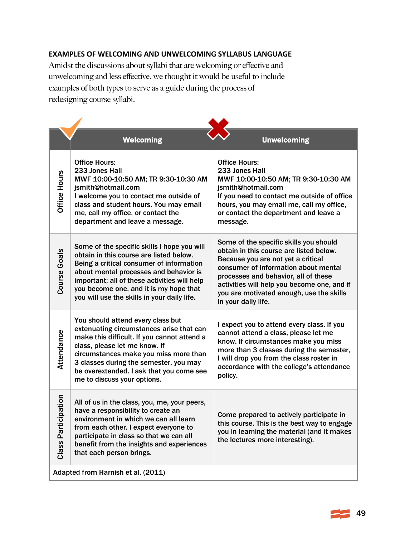### **EXAMPLES OF WELCOMING AND UNWELCOMING SYLLABUS LANGUAGE**

Amidst the discussions about syllabi that are welcoming or effective and unwelcoming and less effective, we thought it would be useful to include examples of both types to serve as a guide during the process of redesigning course syllabi.

|                                    | <b>Welcoming</b>                                                                                                                                                                                                                                                                                                            | <b>Unwelcoming</b>                                                                                                                                                                                                                                                                                                        |
|------------------------------------|-----------------------------------------------------------------------------------------------------------------------------------------------------------------------------------------------------------------------------------------------------------------------------------------------------------------------------|---------------------------------------------------------------------------------------------------------------------------------------------------------------------------------------------------------------------------------------------------------------------------------------------------------------------------|
| Office Hours                       | <b>Office Hours:</b><br>233 Jones Hall<br>MWF 10:00-10:50 AM; TR 9:30-10:30 AM<br>jsmith@hotmail.com<br>I welcome you to contact me outside of<br>class and student hours. You may email<br>me, call my office, or contact the<br>department and leave a message.                                                           | <b>Office Hours:</b><br>233 Jones Hall<br>MWF 10:00-10:50 AM; TR 9:30-10:30 AM<br>jsmith@hotmail.com<br>If you need to contact me outside of office<br>hours, you may email me, call my office,<br>or contact the department and leave a<br>message.                                                                      |
| <b>Course Goals</b>                | Some of the specific skills I hope you will<br>obtain in this course are listed below.<br>Being a critical consumer of information<br>about mental processes and behavior is<br>important; all of these activities will help<br>you become one, and it is my hope that<br>you will use the skills in your daily life.       | Some of the specific skills you should<br>obtain in this course are listed below.<br>Because you are not yet a critical<br>consumer of information about mental<br>processes and behavior, all of these<br>activities will help you become one, and if<br>you are motivated enough, use the skills<br>in your daily life. |
| Attendance                         | You should attend every class but<br>extenuating circumstances arise that can<br>make this difficult. If you cannot attend a<br>class, please let me know. If<br>circumstances make you miss more than<br>3 classes during the semester, you may<br>be overextended. I ask that you come see<br>me to discuss your options. | I expect you to attend every class. If you<br>cannot attend a class, please let me<br>know. If circumstances make you miss<br>more than 3 classes during the semester,<br>I will drop you from the class roster in<br>accordance with the college's attendance<br>policy.                                                 |
| pation<br><b>Class Partici</b>     | All of us in the class, you, me, your peers,<br>have a responsibility to create an<br>environment in which we can all learn<br>from each other. I expect everyone to<br>participate in class so that we can all<br>benefit from the insights and experiences<br>that each person brings.                                    | Come prepared to actively participate in<br>this course. This is the best way to engage<br>you in learning the material (and it makes<br>the lectures more interesting).                                                                                                                                                  |
| Adapted from Harnish et al. (2011) |                                                                                                                                                                                                                                                                                                                             |                                                                                                                                                                                                                                                                                                                           |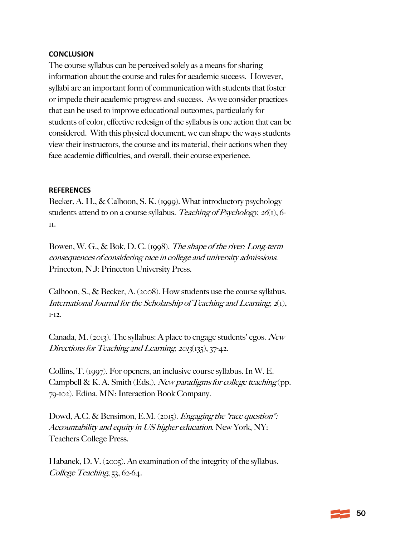#### **CONCLUSION**

The course syllabus can be perceived solely as a means for sharing information about the course and rules for academic success. However, syllabi are an important form of communication with students that foster or impede their academic progress and success. As we consider practices that can be used to improve educational outcomes, particularly for students of color, effective redesign of the syllabus is one action that can be considered. With this physical document, we can shape the ways students view their instructors, the course and its material, their actions when they face academic difficulties, and overall, their course experience.

#### **REFERENCES**

Becker, A. H., & Calhoon, S. K. (1999). What introductory psychology students attend to on a course syllabus. Teaching of Psychology,  $26(1)$ , 6-11.

Bowen, W. G., & Bok, D. C. (1998). The shape of the river: Long-term consequences of considering race in college and university admissions. Princeton, N.J: Princeton University Press.

Calhoon, S., & Becker, A. (2008). How students use the course syllabus. International Journal for the Scholarship of Teaching and Learning,  $z(t)$ , 1-12.

Canada, M. (2013). The syllabus: A place to engage students' egos. New Directions for Teaching and Learning, 2013(135), 37-42.

Collins, T. (1997). For openers, an inclusive course syllabus. In W. E. Campbell & K. A. Smith (Eds.), New paradigms for college teaching (pp. 79-102). Edina, MN: Interaction Book Company.

Dowd, A.C. & Bensimon, E.M. (2015). *Engaging the "race question"*: Accountability and equity in US higher education. New York, NY: Teachers College Press.

Habanek, D. V. (2005). An examination of the integrity of the syllabus. College Teaching, 53, 62-64.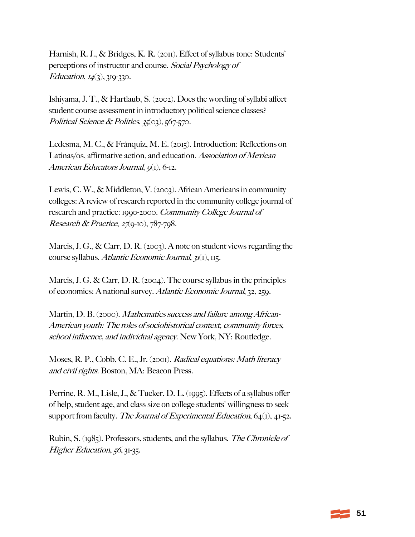Harnish, R. J., & Bridges, K. R. (2011). Effect of syllabus tone: Students' perceptions of instructor and course. Social Psychology of Education,  $14(3)$ ,  $319-330$ .

Ishiyama, J. T., & Hartlaub, S. (2002). Does the wording of syllabi affect student course assessment in introductory political science classes? Political Science & Politics,  $35(03)$ ,  $567-570$ .

Ledesma, M. C., & Fránquiz, M. E. (2015). Introduction: Reflections on Latinas/os, affirmative action, and education. Association of Mexican American Educators Journal,  $q_1$ , 6-12.

Lewis, C. W., & Middleton, V. (2003). African Americans in community colleges: A review of research reported in the community college journal of research and practice: 1990-2000. Community College Journal of Research & Practice,  $27(9-10)$ ,  $787-798$ .

Marcis, J. G., & Carr, D. R. (2003). A note on student views regarding the course syllabus. Atlantic Economic Journal, 31(1), 115.

Marcis, J. G. & Carr, D. R. (2004). The course syllabus in the principles of economics: A national survey. Atlantic Economic Journal, 32, 259.

Martin, D. B. (2000). *Mathematics success and failure among African-*American youth: The roles of sociohistorical context, community forces, school influence, and individual agency. New York, NY: Routledge.

Moses, R. P., Cobb, C. E., Jr. (2001). Radical equations: Math literacy and civil rights. Boston, MA: Beacon Press.

Perrine, R. M., Lisle, J., & Tucker, D. L. (1995). Effects of a syllabus offer of help, student age, and class size on college students' willingness to seek support from faculty. The Journal of Experimental Education,  $64(1)$ ,  $41-52$ .

Rubin, S. (1985). Professors, students, and the syllabus. The Chronicle of Higher Education, 56, 31-35.